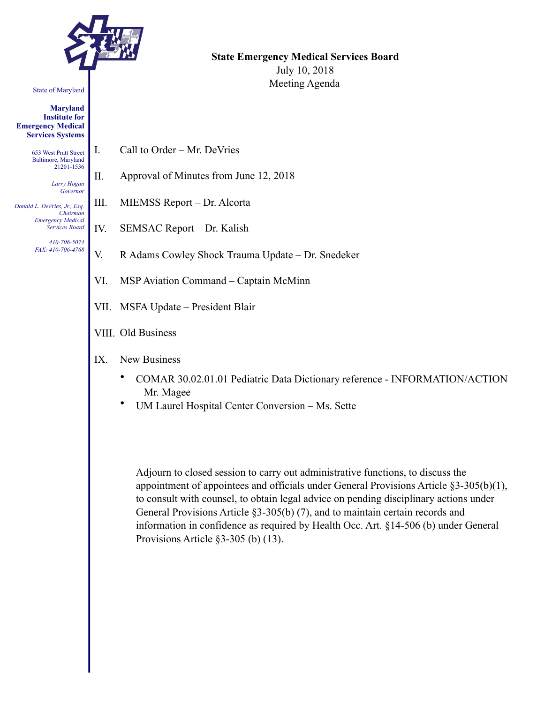

#### State of Maryland

**Maryland Institute for Emergency Medical Services Systems** 

> 653 West Pratt Street Baltimore, Maryland 21201-1536

> > *Larry Hogan Governor*

*Donald L. DeVries, Jr., Esq. Chairman Emergency Medical Services Board* 

> *410-706-5074 FAX: 410-706-4768*

**State Emergency Medical Services Board**  July 10, 2018 Meeting Agenda

- I. Call to Order Mr. DeVries
- II. Approval of Minutes from June 12, 2018
- III. MIEMSS Report Dr. Alcorta
- IV. SEMSAC Report Dr. Kalish
- V. R Adams Cowley Shock Trauma Update Dr. Snedeker
- VI. MSP Aviation Command Captain McMinn
- VII. MSFA Update President Blair
- VIII. Old Business
- IX. New Business
	- COMAR 30.02.01.01 Pediatric Data Dictionary reference INFORMATION/ACTION – Mr. Magee
	- UM Laurel Hospital Center Conversion Ms. Sette

Adjourn to closed session to carry out administrative functions, to discuss the appointment of appointees and officials under General Provisions Article §3-305(b)(1), to consult with counsel, to obtain legal advice on pending disciplinary actions under General Provisions Article §3-305(b) (7), and to maintain certain records and information in confidence as required by Health Occ. Art. §14-506 (b) under General Provisions Article §3-305 (b) (13).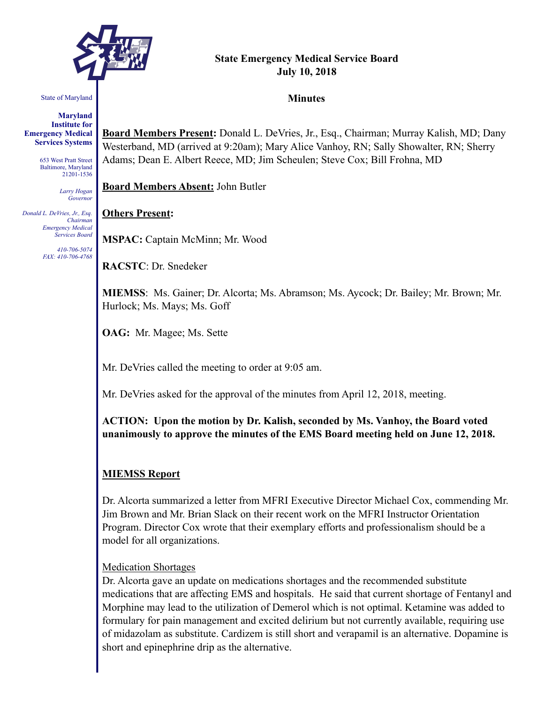

# **State Emergency Medical Service Board July 10, 2018**

**Minutes** 

#### State of Maryland

**Maryland Institute for Emergency Medical Services Systems** 

> 653 West Pratt Street Baltimore, Maryland 21201-1536

> > *Larry Hogan Governor*

*Donald L. DeVries, Jr., Esq. Chairman Emergency Medical Services Board* 

> *410-706-5074 FAX: 410-706-4768*

**Board Members Present:** Donald L. DeVries, Jr., Esq., Chairman; Murray Kalish, MD; Dany Westerband, MD (arrived at 9:20am); Mary Alice Vanhoy, RN; Sally Showalter, RN; Sherry Adams; Dean E. Albert Reece, MD; Jim Scheulen; Steve Cox; Bill Frohna, MD

**Board Members Absent:** John Butler

#### **Others Present:**

**MSPAC:** Captain McMinn; Mr. Wood

**RACSTC**: Dr. Snedeker

**MIEMSS**: Ms. Gainer; Dr. Alcorta; Ms. Abramson; Ms. Aycock; Dr. Bailey; Mr. Brown; Mr. Hurlock; Ms. Mays; Ms. Goff

**OAG:** Mr. Magee; Ms. Sette

Mr. DeVries called the meeting to order at 9:05 am.

Mr. DeVries asked for the approval of the minutes from April 12, 2018, meeting.

**ACTION: Upon the motion by Dr. Kalish, seconded by Ms. Vanhoy, the Board voted unanimously to approve the minutes of the EMS Board meeting held on June 12, 2018.** 

#### **MIEMSS Report**

Dr. Alcorta summarized a letter from MFRI Executive Director Michael Cox, commending Mr. Jim Brown and Mr. Brian Slack on their recent work on the MFRI Instructor Orientation Program. Director Cox wrote that their exemplary efforts and professionalism should be a model for all organizations.

#### Medication Shortages

Dr. Alcorta gave an update on medications shortages and the recommended substitute medications that are affecting EMS and hospitals. He said that current shortage of Fentanyl and Morphine may lead to the utilization of Demerol which is not optimal. Ketamine was added to formulary for pain management and excited delirium but not currently available, requiring use of midazolam as substitute. Cardizem is still short and verapamil is an alternative. Dopamine is short and epinephrine drip as the alternative.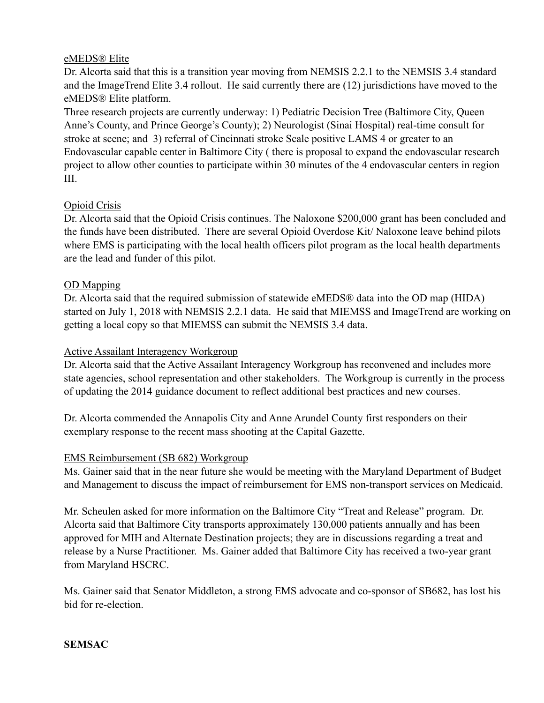#### eMEDS® Elite

Dr. Alcorta said that this is a transition year moving from NEMSIS 2.2.1 to the NEMSIS 3.4 standard and the ImageTrend Elite 3.4 rollout. He said currently there are (12) jurisdictions have moved to the eMEDS® Elite platform.

Three research projects are currently underway: 1) Pediatric Decision Tree (Baltimore City, Queen Anne's County, and Prince George's County); 2) Neurologist (Sinai Hospital) real-time consult for stroke at scene; and 3) referral of Cincinnati stroke Scale positive LAMS 4 or greater to an Endovascular capable center in Baltimore City ( there is proposal to expand the endovascular research project to allow other counties to participate within 30 minutes of the 4 endovascular centers in region III.

# Opioid Crisis

Dr. Alcorta said that the Opioid Crisis continues. The Naloxone \$200,000 grant has been concluded and the funds have been distributed. There are several Opioid Overdose Kit/ Naloxone leave behind pilots where EMS is participating with the local health officers pilot program as the local health departments are the lead and funder of this pilot.

#### OD Mapping

Dr. Alcorta said that the required submission of statewide eMEDS® data into the OD map (HIDA) started on July 1, 2018 with NEMSIS 2.2.1 data. He said that MIEMSS and ImageTrend are working on getting a local copy so that MIEMSS can submit the NEMSIS 3.4 data.

# Active Assailant Interagency Workgroup

Dr. Alcorta said that the Active Assailant Interagency Workgroup has reconvened and includes more state agencies, school representation and other stakeholders. The Workgroup is currently in the process of updating the 2014 guidance document to reflect additional best practices and new courses.

Dr. Alcorta commended the Annapolis City and Anne Arundel County first responders on their exemplary response to the recent mass shooting at the Capital Gazette.

#### EMS Reimbursement (SB 682) Workgroup

Ms. Gainer said that in the near future she would be meeting with the Maryland Department of Budget and Management to discuss the impact of reimbursement for EMS non-transport services on Medicaid.

Mr. Scheulen asked for more information on the Baltimore City "Treat and Release" program. Dr. Alcorta said that Baltimore City transports approximately 130,000 patients annually and has been approved for MIH and Alternate Destination projects; they are in discussions regarding a treat and release by a Nurse Practitioner. Ms. Gainer added that Baltimore City has received a two-year grant from Maryland HSCRC.

Ms. Gainer said that Senator Middleton, a strong EMS advocate and co-sponsor of SB682, has lost his bid for re-election.

#### **SEMSAC**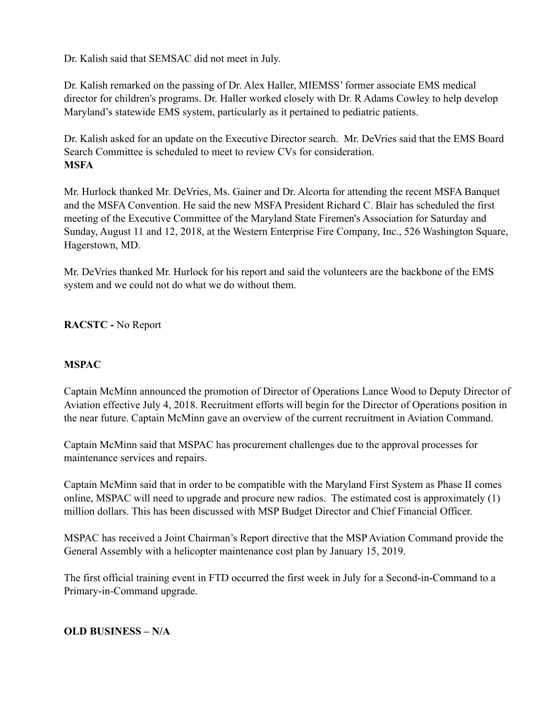Dr. Kalish said that SEMSAC did not meet in July.

Dr. Kalish remarked on the passing of Dr. Alex Haller, MIEMSS' former associate EMS medical director for children's programs. Dr. Haller worked closely with Dr. R Adams Cowley to help develop Maryland's statewide EMS system, particularly as it pertained to pediatric patients.

Dr. Kalish asked for an update on the Executive Director search. Mr. DeVries said that the EMS Board Search Committee is scheduled to meet to review CVs for consideration. **MSFA** 

Mr. Hurlock thanked Mr. DeVries, Ms. Gainer and Dr. Alcorta for attending the recent MSFA Banquet and the MSFA Convention. He said the new MSFA President Richard C. Blair has scheduled the first meeting of the Executive Committee of the Maryland State Firemen's Association for Saturday and Sunday, August 11 and 12, 2018, at the Western Enterprise Fire Company, Inc., 526 Washington Square, Hagerstown, MD.

Mr. DeVries thanked Mr. Hurlock for his report and said the volunteers are the backbone of the EMS system and we could not do what we do without them.

**RACSTC -** No Report

#### **MSPAC**

Captain McMinn announced the promotion of Director of Operations Lance Wood to Deputy Director of Aviation effective July 4, 2018. Recruitment efforts will begin for the Director of Operations position in the near future. Captain McMinn gave an overview of the current recruitment in Aviation Command.

Captain McMinn said that MSPAC has procurement challenges due to the approval processes for maintenance services and repairs.

Captain McMinn said that in order to be compatible with the Maryland First System as Phase II comes online, MSPAC will need to upgrade and procure new radios. The estimated cost is approximately (1) million dollars. This has been discussed with MSP Budget Director and Chief Financial Officer.

MSPAC has received a Joint Chairman's Report directive that the MSP Aviation Command provide the General Assembly with a helicopter maintenance cost plan by January 15, 2019.

The first official training event in FTD occurred the first week in July for a Second-in-Command to a Primary-in-Command upgrade.

#### **OLD BUSINESS – N/A**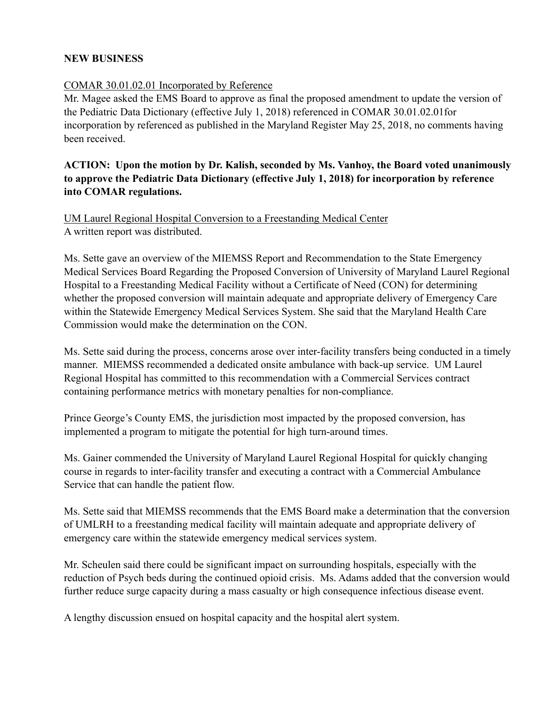#### **NEW BUSINESS**

# COMAR 30.01.02.01 Incorporated by Reference

Mr. Magee asked the EMS Board to approve as final the proposed amendment to update the version of the Pediatric Data Dictionary (effective July 1, 2018) referenced in COMAR 30.01.02.01for incorporation by referenced as published in the Maryland Register May 25, 2018, no comments having been received.

# **ACTION: Upon the motion by Dr. Kalish, seconded by Ms. Vanhoy, the Board voted unanimously to approve the Pediatric Data Dictionary (effective July 1, 2018) for incorporation by reference into COMAR regulations.**

UM Laurel Regional Hospital Conversion to a Freestanding Medical Center A written report was distributed.

Ms. Sette gave an overview of the MIEMSS Report and Recommendation to the State Emergency Medical Services Board Regarding the Proposed Conversion of University of Maryland Laurel Regional Hospital to a Freestanding Medical Facility without a Certificate of Need (CON) for determining whether the proposed conversion will maintain adequate and appropriate delivery of Emergency Care within the Statewide Emergency Medical Services System. She said that the Maryland Health Care Commission would make the determination on the CON.

Ms. Sette said during the process, concerns arose over inter-facility transfers being conducted in a timely manner. MIEMSS recommended a dedicated onsite ambulance with back-up service. UM Laurel Regional Hospital has committed to this recommendation with a Commercial Services contract containing performance metrics with monetary penalties for non-compliance.

Prince George's County EMS, the jurisdiction most impacted by the proposed conversion, has implemented a program to mitigate the potential for high turn-around times.

Ms. Gainer commended the University of Maryland Laurel Regional Hospital for quickly changing course in regards to inter-facility transfer and executing a contract with a Commercial Ambulance Service that can handle the patient flow.

Ms. Sette said that MIEMSS recommends that the EMS Board make a determination that the conversion of UMLRH to a freestanding medical facility will maintain adequate and appropriate delivery of emergency care within the statewide emergency medical services system.

Mr. Scheulen said there could be significant impact on surrounding hospitals, especially with the reduction of Psych beds during the continued opioid crisis. Ms. Adams added that the conversion would further reduce surge capacity during a mass casualty or high consequence infectious disease event.

A lengthy discussion ensued on hospital capacity and the hospital alert system.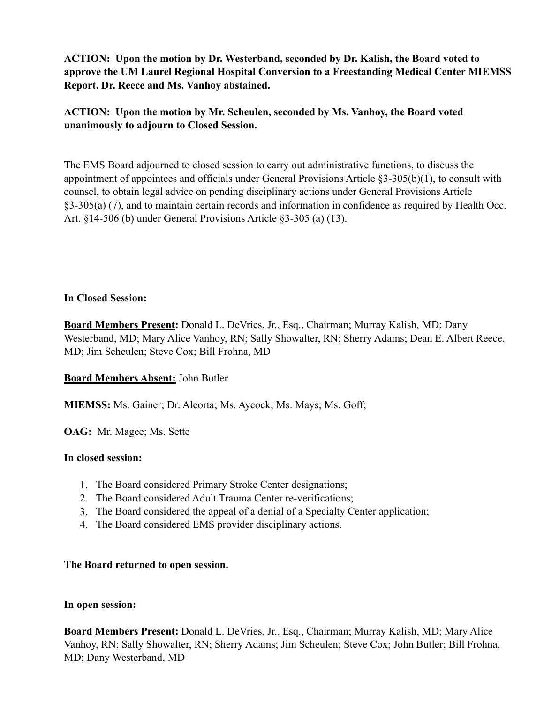**ACTION: Upon the motion by Dr. Westerband, seconded by Dr. Kalish, the Board voted to approve the UM Laurel Regional Hospital Conversion to a Freestanding Medical Center MIEMSS Report. Dr. Reece and Ms. Vanhoy abstained.** 

**ACTION: Upon the motion by Mr. Scheulen, seconded by Ms. Vanhoy, the Board voted unanimously to adjourn to Closed Session.** 

The EMS Board adjourned to closed session to carry out administrative functions, to discuss the appointment of appointees and officials under General Provisions Article §3-305(b)(1), to consult with counsel, to obtain legal advice on pending disciplinary actions under General Provisions Article §3-305(a) (7), and to maintain certain records and information in confidence as required by Health Occ. Art. §14-506 (b) under General Provisions Article §3-305 (a) (13).

#### **In Closed Session:**

**Board Members Present:** Donald L. DeVries, Jr., Esq., Chairman; Murray Kalish, MD; Dany Westerband, MD; Mary Alice Vanhoy, RN; Sally Showalter, RN; Sherry Adams; Dean E. Albert Reece, MD; Jim Scheulen; Steve Cox; Bill Frohna, MD

#### **Board Members Absent:** John Butler

**MIEMSS:** Ms. Gainer; Dr. Alcorta; Ms. Aycock; Ms. Mays; Ms. Goff;

**OAG:** Mr. Magee; Ms. Sette

#### **In closed session:**

- 1. The Board considered Primary Stroke Center designations;
- 2. The Board considered Adult Trauma Center re-verifications;
- 3. The Board considered the appeal of a denial of a Specialty Center application;
- 4. The Board considered EMS provider disciplinary actions.

#### **The Board returned to open session.**

#### **In open session:**

**Board Members Present:** Donald L. DeVries, Jr., Esq., Chairman; Murray Kalish, MD; Mary Alice Vanhoy, RN; Sally Showalter, RN; Sherry Adams; Jim Scheulen; Steve Cox; John Butler; Bill Frohna, MD; Dany Westerband, MD